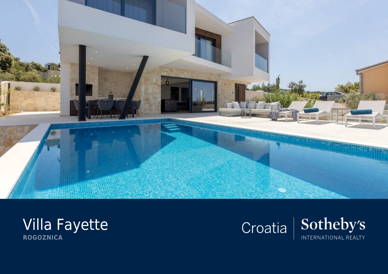



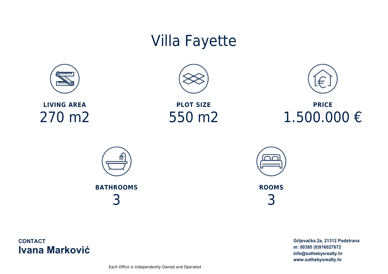## Villa Fayette



**LIVING AREA** 270 m2



**PLOT SIZE** 550 m2



**PRICE** 1.500.000 €





**ROOMS** 3

**CONTACT Ivana Marković**  Grljevačka 2a, 21312 Podstrana m: 00385 (0)916027672 info@sothebysrealty.hr www.sothebysrealty.hr

Each Office is Independently Owned and Operated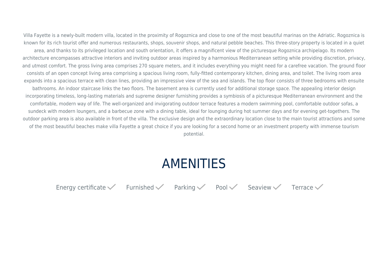Villa Fayette is a newly-built modern villa, located in the proximity of Rogoznica and close to one of the most beautiful marinas on the Adriatic. Rogoznica is known for its rich tourist offer and numerous restaurants, shops, souvenir shops, and natural pebble beaches. This three-story property is located in a quiet

area, and thanks to its privileged location and south orientation, it offers a magnificent view of the picturesque Rogoznica archipelago. Its modern architecture encompasses attractive interiors and inviting outdoor areas inspired by a harmonious Mediterranean setting while providing discretion, privacy, and utmost comfort. The gross living area comprises 270 square meters, and it includes everything you might need for a carefree vacation. The ground floor consists of an open concept living area comprising a spacious living room, fully-fitted contemporary kitchen, dining area, and toilet. The living room area expands into a spacious terrace with clean lines, providing an impressive view of the sea and islands. The top floor consists of three bedrooms with ensuite bathrooms. An indoor staircase links the two floors. The basement area is currently used for additional storage space. The appealing interior design incorporating timeless, long-lasting materials and supreme designer furnishing provides a symbiosis of a picturesque Mediterranean environment and the comfortable, modern way of life. The well-organized and invigorating outdoor terrace features a modern swimming pool, comfortable outdoor sofas, a sundeck with modern loungers, and a barbecue zone with a dining table, ideal for lounging during hot summer days and for evening get-togethers. The outdoor parking area is also available in front of the villa. The exclusive design and the extraordinary location close to the main tourist attractions and some of the most beautiful beaches make villa Fayette a great choice if you are looking for a second home or an investment property with immense tourism potential.

## AMENITIES

Energy certificate  $\swarrow$  Furnished  $\swarrow$  Parking  $\swarrow$  Seaview  $\swarrow$  Terrace  $\swarrow$